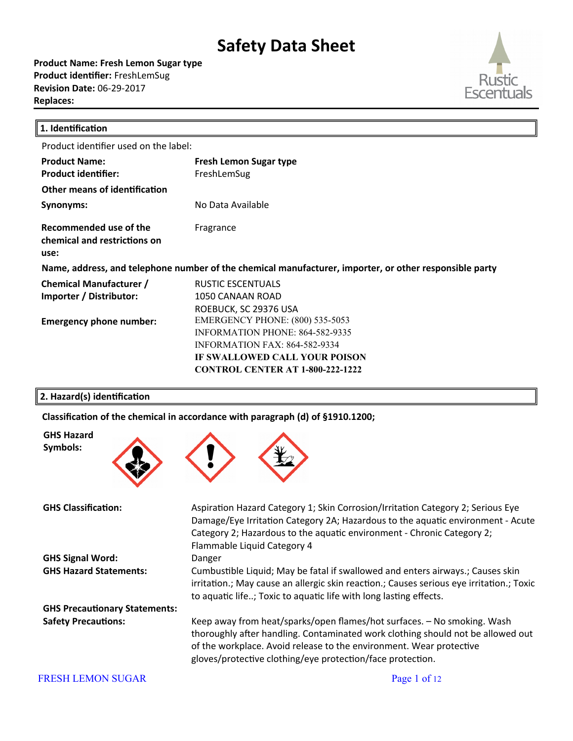**Product Name: Fresh Lemon Sugar type Product identifier: FreshLemSug Revision Date:** 06-29-2017 **Replaces:** 



| 1. Identification                                              |                                                                                                                                                                                               |
|----------------------------------------------------------------|-----------------------------------------------------------------------------------------------------------------------------------------------------------------------------------------------|
| Product identifier used on the label:                          |                                                                                                                                                                                               |
| <b>Product Name:</b><br><b>Product identifier:</b>             | <b>Fresh Lemon Sugar type</b><br>FreshLemSug                                                                                                                                                  |
| Other means of identification                                  |                                                                                                                                                                                               |
| Synonyms:                                                      | No Data Available                                                                                                                                                                             |
| Recommended use of the<br>chemical and restrictions on<br>use: | Fragrance                                                                                                                                                                                     |
|                                                                | Name, address, and telephone number of the chemical manufacturer, importer, or other responsible party                                                                                        |
| <b>Chemical Manufacturer /</b><br>Importer / Distributor:      | RUSTIC ESCENTUALS<br>1050 CANAAN ROAD<br>ROEBUCK, SC 29376 USA                                                                                                                                |
| <b>Emergency phone number:</b>                                 | <b>EMERGENCY PHONE: (800) 535-5053</b><br>INFORMATION PHONE: 864-582-9335<br><b>INFORMATION FAX: 864-582-9334</b><br>IF SWALLOWED CALL YOUR POISON<br><b>CONTROL CENTER AT 1-800-222-1222</b> |

#### **2. Hazard(s) identification**

**GHS Hazard Symbols:**

Classification of the chemical in accordance with paragraph (d) of §1910.1200;



GHS Classification: **Aspiration Hazard Category 1; Skin Corrosion/Irritation Category 2; Serious Eye** Damage/Eye Irritation Category 2A; Hazardous to the aquatic environment - Acute Category 2; Hazardous to the aquatic environment - Chronic Category 2; Flammable Liquid Category 4 **GHS Signal Word:** Danger GHS Hazard Statements: Cumbustible Liquid; May be fatal if swallowed and enters airways.; Causes skin irritation.; May cause an allergic skin reaction.; Causes serious eye irritation.; Toxic to aquatic life..; Toxic to aquatic life with long lasting effects. **GHS Precautonary Statements: Safety Precautions:** Keep away from heat/sparks/open flames/hot surfaces. – No smoking. Wash thoroughly after handling. Contaminated work clothing should not be allowed out of the workplace. Avoid release to the environment. Wear protective gloves/protective clothing/eye protection/face protection.

#### FRESH LEMON SUGAR Page 1 of 12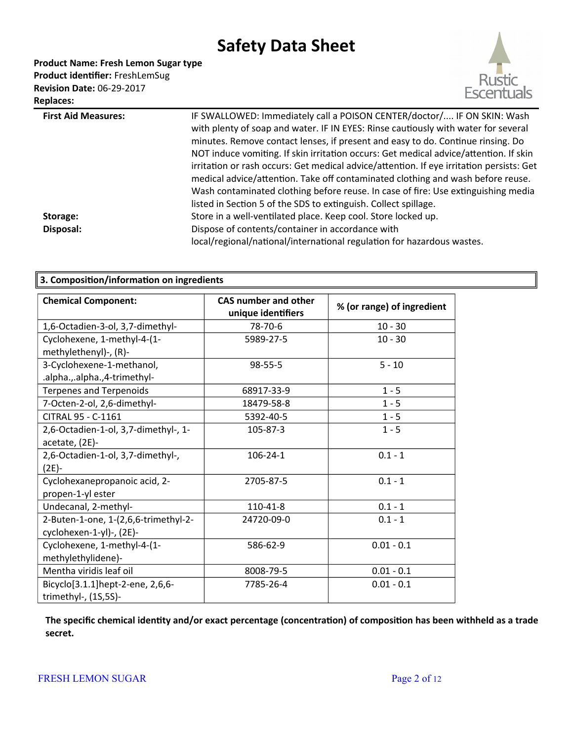**Product Name: Fresh Lemon Sugar type** Product identifier: FreshLemSug

**Revision Date:** 06-29-2017 **Replaces:** 



| <b>First Aid Measures:</b> | IF SWALLOWED: Immediately call a POISON CENTER/doctor/ IF ON SKIN: Wash                  |
|----------------------------|------------------------------------------------------------------------------------------|
|                            | with plenty of soap and water. IF IN EYES: Rinse cautiously with water for several       |
|                            | minutes. Remove contact lenses, if present and easy to do. Continue rinsing. Do          |
|                            | NOT induce vomiting. If skin irritation occurs: Get medical advice/attention. If skin    |
|                            | irritation or rash occurs: Get medical advice/attention. If eye irritation persists: Get |
|                            | medical advice/attention. Take off contaminated clothing and wash before reuse.          |
|                            | Wash contaminated clothing before reuse. In case of fire: Use extinguishing media        |
|                            | listed in Section 5 of the SDS to extinguish. Collect spillage.                          |
| Storage:                   | Store in a well-ventilated place. Keep cool. Store locked up.                            |
| Disposal:                  | Dispose of contents/container in accordance with                                         |
|                            | local/regional/national/international regulation for hazardous wastes.                   |
|                            |                                                                                          |

| 3. Composition/information on ingredients                        |                                                   |                            |
|------------------------------------------------------------------|---------------------------------------------------|----------------------------|
| <b>Chemical Component:</b>                                       | <b>CAS number and other</b><br>unique identifiers | % (or range) of ingredient |
| 1,6-Octadien-3-ol, 3,7-dimethyl-                                 | 78-70-6                                           | $10 - 30$                  |
| Cyclohexene, 1-methyl-4-(1-<br>methylethenyl)-, (R)-             | 5989-27-5                                         | $10 - 30$                  |
| 3-Cyclohexene-1-methanol,<br>.alpha.,.alpha.,4-trimethyl-        | 98-55-5                                           | $5 - 10$                   |
| <b>Terpenes and Terpenoids</b>                                   | 68917-33-9                                        | $1 - 5$                    |
| 7-Octen-2-ol, 2,6-dimethyl-                                      | 18479-58-8                                        | $1 - 5$                    |
| CITRAL 95 - C-1161                                               | 5392-40-5                                         | $1 - 5$                    |
| 2,6-Octadien-1-ol, 3,7-dimethyl-, 1-<br>acetate, (2E)-           | 105-87-3                                          | $1 - 5$                    |
| 2,6-Octadien-1-ol, 3,7-dimethyl-,<br>$(2E) -$                    | $106 - 24 - 1$                                    | $0.1 - 1$                  |
| Cyclohexanepropanoic acid, 2-<br>propen-1-yl ester               | 2705-87-5                                         | $0.1 - 1$                  |
| Undecanal, 2-methyl-                                             | 110-41-8                                          | $0.1 - 1$                  |
| 2-Buten-1-one, 1-(2,6,6-trimethyl-2-<br>cyclohexen-1-yl)-, (2E)- | 24720-09-0                                        | $0.1 - 1$                  |
| Cyclohexene, 1-methyl-4-(1-<br>methylethylidene)-                | 586-62-9                                          | $0.01 - 0.1$               |
| Mentha viridis leaf oil                                          | 8008-79-5                                         | $0.01 - 0.1$               |
| Bicyclo[3.1.1]hept-2-ene, 2,6,6-<br>trimethyl-, (1S,5S)-         | 7785-26-4                                         | $0.01 - 0.1$               |

**The speciic chemical identty and/or exact percentage (concentraton) of compositon has been withheld as a trade secret.**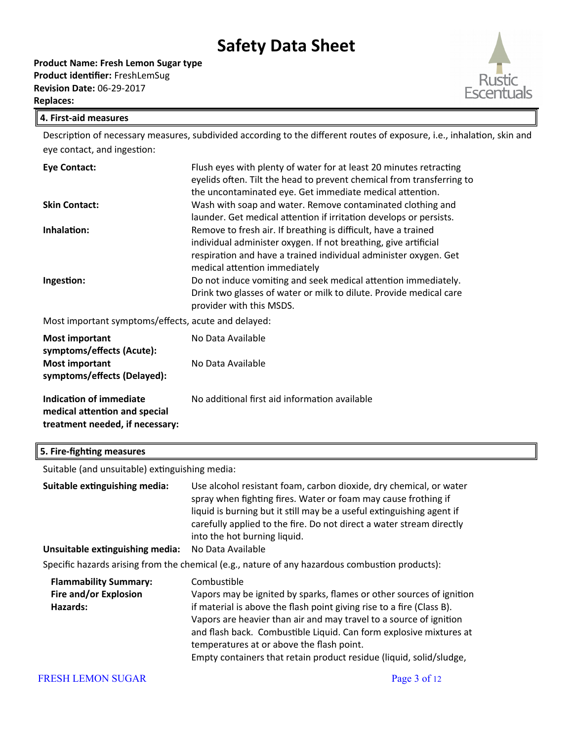

#### **4. First-aid measures**

Description of necessary measures, subdivided according to the different routes of exposure, i.e., inhalation, skin and eye contact, and ingestion:

| <b>Eye Contact:</b>                                 | Flush eyes with plenty of water for at least 20 minutes retracting<br>eyelids often. Tilt the head to prevent chemical from transferring to |
|-----------------------------------------------------|---------------------------------------------------------------------------------------------------------------------------------------------|
|                                                     | the uncontaminated eye. Get immediate medical attention.                                                                                    |
| <b>Skin Contact:</b>                                | Wash with soap and water. Remove contaminated clothing and<br>launder. Get medical attention if irritation develops or persists.            |
| Inhalation:                                         | Remove to fresh air. If breathing is difficult, have a trained                                                                              |
|                                                     | individual administer oxygen. If not breathing, give artificial                                                                             |
|                                                     | respiration and have a trained individual administer oxygen. Get<br>medical attention immediately                                           |
| Ingestion:                                          | Do not induce vomiting and seek medical attention immediately.                                                                              |
|                                                     | Drink two glasses of water or milk to dilute. Provide medical care<br>provider with this MSDS.                                              |
| Most important symptoms/effects, acute and delayed: |                                                                                                                                             |

**Most important symptoms/efects (Acute):** No Data Available

| symptoms/effects (Acute):<br><b>Most important</b><br>symptoms/effects (Delayed):           | No Data Available                             |
|---------------------------------------------------------------------------------------------|-----------------------------------------------|
| Indication of immediate<br>medical attention and special<br>treatment needed, if necessary: | No additional first aid information available |

### **5. Fire-fighting measures**

Suitable (and unsuitable) extinguishing media:

| Suitable extinguishing media:<br>Unsuitable extinguishing media:  | Use alcohol resistant foam, carbon dioxide, dry chemical, or water<br>spray when fighting fires. Water or foam may cause frothing if<br>liquid is burning but it still may be a useful extinguishing agent if<br>carefully applied to the fire. Do not direct a water stream directly<br>into the hot burning liquid.<br>No Data Available<br>Specific hazards arising from the chemical (e.g., nature of any hazardous combustion products): |
|-------------------------------------------------------------------|-----------------------------------------------------------------------------------------------------------------------------------------------------------------------------------------------------------------------------------------------------------------------------------------------------------------------------------------------------------------------------------------------------------------------------------------------|
| <b>Flammability Summary:</b><br>Fire and/or Explosion<br>Hazards: | Combustible<br>Vapors may be ignited by sparks, flames or other sources of ignition<br>if material is above the flash point giving rise to a fire (Class B).<br>Vapors are heavier than air and may travel to a source of ignition<br>and flash back. Combustible Liquid. Can form explosive mixtures at<br>temperatures at or above the flash point.<br>Empty containers that retain product residue (liquid, solid/sludge,                  |

#### FRESH LEMON SUGAR Page 3 of 12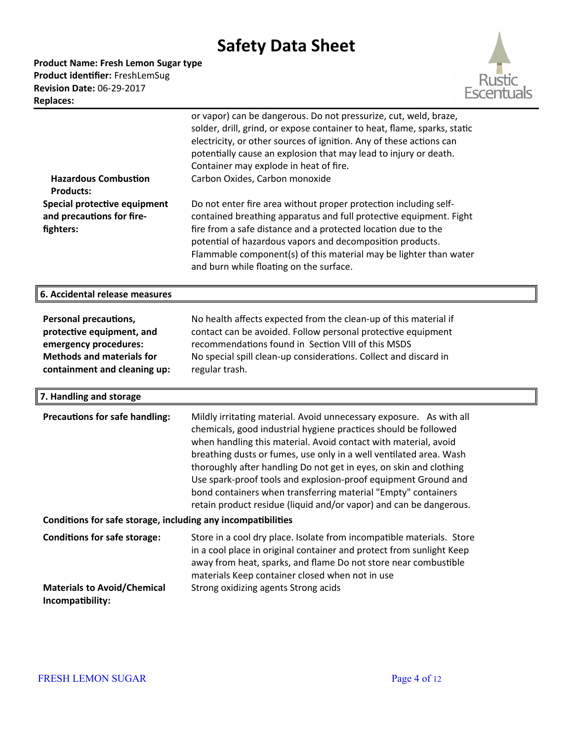**Product Name: Fresh Lemon Sugar type** Product identifier: FreshLemSug **Revision Date:** 06-29-2017 **Replaces:** 



| <b>Hazardous Combustion</b><br><b>Products:</b><br>Special protective equipment<br>and precautions for fire-<br>fighters:                       | or vapor) can be dangerous. Do not pressurize, cut, weld, braze,<br>solder, drill, grind, or expose container to heat, flame, sparks, static<br>electricity, or other sources of ignition. Any of these actions can<br>potentially cause an explosion that may lead to injury or death.<br>Container may explode in heat of fire.<br>Carbon Oxides, Carbon monoxide<br>Do not enter fire area without proper protection including self-<br>contained breathing apparatus and full protective equipment. Fight<br>fire from a safe distance and a protected location due to the<br>potential of hazardous vapors and decomposition products.<br>Flammable component(s) of this material may be lighter than water |
|-------------------------------------------------------------------------------------------------------------------------------------------------|------------------------------------------------------------------------------------------------------------------------------------------------------------------------------------------------------------------------------------------------------------------------------------------------------------------------------------------------------------------------------------------------------------------------------------------------------------------------------------------------------------------------------------------------------------------------------------------------------------------------------------------------------------------------------------------------------------------|
|                                                                                                                                                 | and burn while floating on the surface.                                                                                                                                                                                                                                                                                                                                                                                                                                                                                                                                                                                                                                                                          |
| 6. Accidental release measures                                                                                                                  |                                                                                                                                                                                                                                                                                                                                                                                                                                                                                                                                                                                                                                                                                                                  |
| Personal precautions,<br>protective equipment, and<br>emergency procedures:<br><b>Methods and materials for</b><br>containment and cleaning up: | No health affects expected from the clean-up of this material if<br>contact can be avoided. Follow personal protective equipment<br>recommendations found in Section VIII of this MSDS<br>No special spill clean-up considerations. Collect and discard in<br>regular trash.                                                                                                                                                                                                                                                                                                                                                                                                                                     |
| 7. Handling and storage                                                                                                                         |                                                                                                                                                                                                                                                                                                                                                                                                                                                                                                                                                                                                                                                                                                                  |
| <b>Precautions for safe handling:</b>                                                                                                           | Mildly irritating material. Avoid unnecessary exposure. As with all<br>chemicals, good industrial hygiene practices should be followed<br>when handling this material. Avoid contact with material, avoid<br>breathing dusts or fumes, use only in a well ventilated area. Wash<br>thoroughly after handling Do not get in eyes, on skin and clothing<br>Use spark-proof tools and explosion-proof equipment Ground and<br>bond containers when transferring material "Empty" containers<br>retain product residue (liquid and/or vapor) and can be dangerous.                                                                                                                                                   |
| Conditions for safe storage, including any incompatibilities                                                                                    |                                                                                                                                                                                                                                                                                                                                                                                                                                                                                                                                                                                                                                                                                                                  |
| <b>Conditions for safe storage:</b>                                                                                                             | Store in a cool dry place. Isolate from incompatible materials. Store<br>in a cool place in original container and protect from sunlight Keep<br>away from heat, sparks, and flame Do not store near combustible<br>materials Keep container closed when not in use                                                                                                                                                                                                                                                                                                                                                                                                                                              |
| <b>Materials to Avoid/Chemical</b><br>Incompatibility:                                                                                          | Strong oxidizing agents Strong acids                                                                                                                                                                                                                                                                                                                                                                                                                                                                                                                                                                                                                                                                             |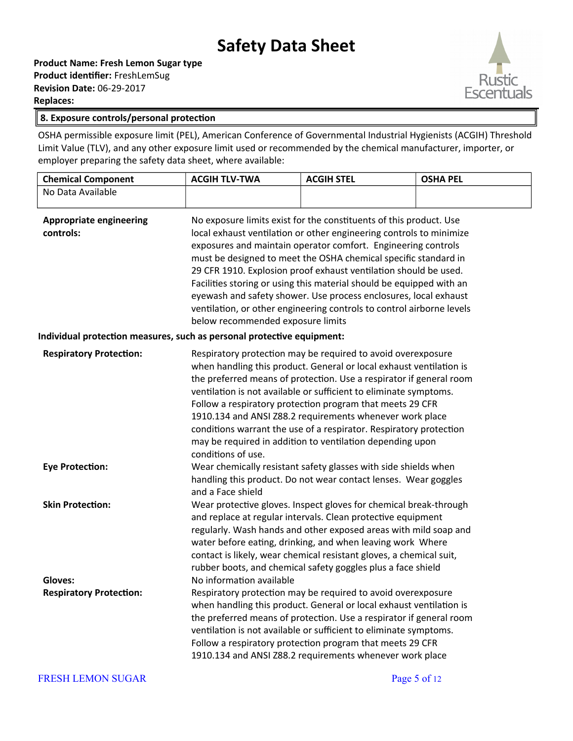**Product Name: Fresh Lemon Sugar type Product identifier: FreshLemSug Revision Date:** 06-29-2017 **Replaces:** 



#### **8. Exposure controls/personal protecton**

OSHA permissible exposure limit (PEL), American Conference of Governmental Industrial Hygienists (ACGIH) Threshold Limit Value (TLV), and any other exposure limit used or recommended by the chemical manufacturer, importer, or employer preparing the safety data sheet, where available:

| <b>Chemical Component</b>                                              | <b>ACGIH TLV-TWA</b>                                                                                                                                                                                                                                                                                                                                                                                                                                                                                                                                                                                                                                                                                    | <b>ACGIH STEL</b>                                                                                                                                                                                                                                                                                                                                                                                                                                                                                                                                 | <b>OSHA PEL</b> |
|------------------------------------------------------------------------|---------------------------------------------------------------------------------------------------------------------------------------------------------------------------------------------------------------------------------------------------------------------------------------------------------------------------------------------------------------------------------------------------------------------------------------------------------------------------------------------------------------------------------------------------------------------------------------------------------------------------------------------------------------------------------------------------------|---------------------------------------------------------------------------------------------------------------------------------------------------------------------------------------------------------------------------------------------------------------------------------------------------------------------------------------------------------------------------------------------------------------------------------------------------------------------------------------------------------------------------------------------------|-----------------|
| No Data Available                                                      |                                                                                                                                                                                                                                                                                                                                                                                                                                                                                                                                                                                                                                                                                                         |                                                                                                                                                                                                                                                                                                                                                                                                                                                                                                                                                   |                 |
| <b>Appropriate engineering</b><br>controls:                            | No exposure limits exist for the constituents of this product. Use<br>local exhaust ventilation or other engineering controls to minimize<br>exposures and maintain operator comfort. Engineering controls<br>must be designed to meet the OSHA chemical specific standard in<br>29 CFR 1910. Explosion proof exhaust ventilation should be used.<br>Facilities storing or using this material should be equipped with an<br>eyewash and safety shower. Use process enclosures, local exhaust<br>ventilation, or other engineering controls to control airborne levels<br>below recommended exposure limits                                                                                             |                                                                                                                                                                                                                                                                                                                                                                                                                                                                                                                                                   |                 |
| Individual protection measures, such as personal protective equipment: |                                                                                                                                                                                                                                                                                                                                                                                                                                                                                                                                                                                                                                                                                                         |                                                                                                                                                                                                                                                                                                                                                                                                                                                                                                                                                   |                 |
| <b>Respiratory Protection:</b><br><b>Eye Protection:</b>               | Respiratory protection may be required to avoid overexposure<br>when handling this product. General or local exhaust ventilation is<br>the preferred means of protection. Use a respirator if general room<br>ventilation is not available or sufficient to eliminate symptoms.<br>Follow a respiratory protection program that meets 29 CFR<br>1910.134 and ANSI Z88.2 requirements whenever work place<br>conditions warrant the use of a respirator. Respiratory protection<br>may be required in addition to ventilation depending upon<br>conditions of use.<br>Wear chemically resistant safety glasses with side shields when<br>handling this product. Do not wear contact lenses. Wear goggles |                                                                                                                                                                                                                                                                                                                                                                                                                                                                                                                                                   |                 |
| <b>Skin Protection:</b><br>Gloves:<br><b>Respiratory Protection:</b>   | and a Face shield<br>No information available                                                                                                                                                                                                                                                                                                                                                                                                                                                                                                                                                                                                                                                           | Wear protective gloves. Inspect gloves for chemical break-through<br>and replace at regular intervals. Clean protective equipment<br>regularly. Wash hands and other exposed areas with mild soap and<br>water before eating, drinking, and when leaving work Where<br>contact is likely, wear chemical resistant gloves, a chemical suit,<br>rubber boots, and chemical safety goggles plus a face shield<br>Respiratory protection may be required to avoid overexposure<br>when handling this product. General or local exhaust ventilation is |                 |
|                                                                        |                                                                                                                                                                                                                                                                                                                                                                                                                                                                                                                                                                                                                                                                                                         | the preferred means of protection. Use a respirator if general room<br>ventilation is not available or sufficient to eliminate symptoms.<br>Follow a respiratory protection program that meets 29 CFR<br>1910.134 and ANSI Z88.2 requirements whenever work place                                                                                                                                                                                                                                                                                 |                 |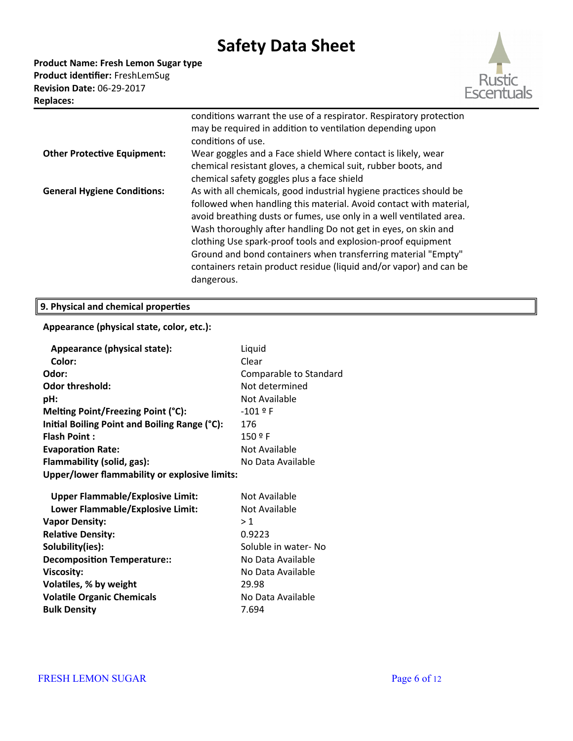**Product Name: Fresh Lemon Sugar type** Product identifier: FreshLemSug **Revision Date:** 06-29-2017 **Replaces:** 



|                                    | conditions warrant the use of a respirator. Respiratory protection<br>may be required in addition to ventilation depending upon<br>conditions of use.                                                                                                                                                                                                                                                                                                                                                  |
|------------------------------------|--------------------------------------------------------------------------------------------------------------------------------------------------------------------------------------------------------------------------------------------------------------------------------------------------------------------------------------------------------------------------------------------------------------------------------------------------------------------------------------------------------|
| <b>Other Protective Equipment:</b> | Wear goggles and a Face shield Where contact is likely, wear<br>chemical resistant gloves, a chemical suit, rubber boots, and<br>chemical safety goggles plus a face shield                                                                                                                                                                                                                                                                                                                            |
| <b>General Hygiene Conditions:</b> | As with all chemicals, good industrial hygiene practices should be<br>followed when handling this material. Avoid contact with material,<br>avoid breathing dusts or fumes, use only in a well ventilated area.<br>Wash thoroughly after handling Do not get in eyes, on skin and<br>clothing Use spark-proof tools and explosion-proof equipment<br>Ground and bond containers when transferring material "Empty"<br>containers retain product residue (liquid and/or vapor) and can be<br>dangerous. |

### **9. Physical and chemical propertes**

### **Appearance (physical state, color, etc.):**

| Appearance (physical state):                  | Liquid                 |
|-----------------------------------------------|------------------------|
| Color:                                        | Clear                  |
| Odor:                                         | Comparable to Standard |
| Odor threshold:                               | Not determined         |
| pH:                                           | Not Available          |
| Melting Point/Freezing Point (°C):            | $-101$ º F             |
| Initial Boiling Point and Boiling Range (°C): | 176                    |
| <b>Flash Point:</b>                           | 150 º F                |
| <b>Evaporation Rate:</b>                      | Not Available          |
| Flammability (solid, gas):                    | No Data Available      |
| Upper/lower flammability or explosive limits: |                        |
| <b>Upper Flammable/Explosive Limit:</b>       | Not Available          |
| Lower Flammable/Explosive Limit:              | Not Available          |
|                                               | >1                     |
| <b>Vapor Density:</b>                         | 0.9223                 |
| <b>Relative Density:</b>                      |                        |
| Solubility(ies):                              | Soluble in water- No   |
| <b>Decomposition Temperature::</b>            | No Data Available      |
| <b>Viscosity:</b>                             | No Data Available      |
| Volatiles, % by weight                        | 29.98                  |
| <b>Volatile Organic Chemicals</b>             | No Data Available      |
| <b>Bulk Density</b>                           | 7.694                  |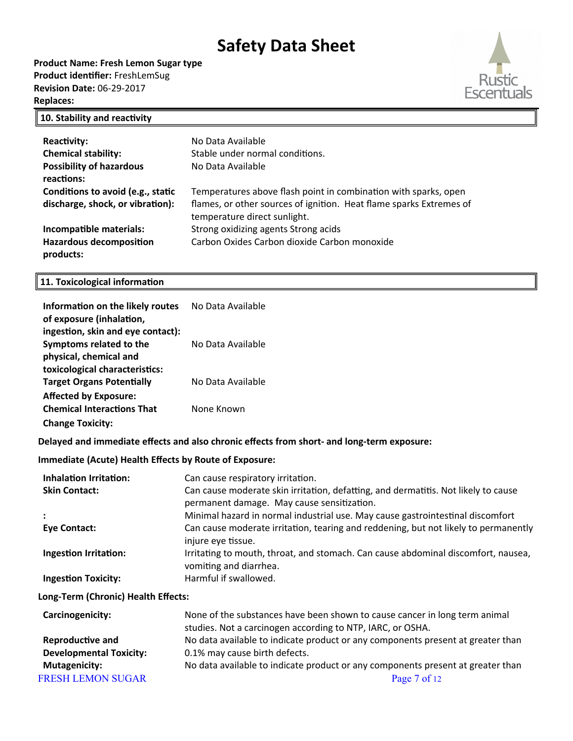**Product Name: Fresh Lemon Sugar type** Product identifier: FreshLemSug **Revision Date:** 06-29-2017 **Replaces:** 



### **10. Stability and reactivity**

| <b>Reactivity:</b>                          | No Data Available                                                                                   |
|---------------------------------------------|-----------------------------------------------------------------------------------------------------|
| <b>Chemical stability:</b>                  | Stable under normal conditions.                                                                     |
| <b>Possibility of hazardous</b>             | No Data Available                                                                                   |
| reactions:                                  |                                                                                                     |
| Conditions to avoid (e.g., static           | Temperatures above flash point in combination with sparks, open                                     |
| discharge, shock, or vibration):            | flames, or other sources of ignition. Heat flame sparks Extremes of<br>temperature direct sunlight. |
| Incompatible materials:                     | Strong oxidizing agents Strong acids                                                                |
| <b>Hazardous decomposition</b><br>products: | Carbon Oxides Carbon dioxide Carbon monoxide                                                        |

### **11. Toxicological informaton**

| Information on the likely routes<br>of exposure (inhalation,                           | No Data Available                                                                                                                        |  |  |
|----------------------------------------------------------------------------------------|------------------------------------------------------------------------------------------------------------------------------------------|--|--|
| ingestion, skin and eye contact):<br>Symptoms related to the<br>physical, chemical and | No Data Available                                                                                                                        |  |  |
| toxicological characteristics:<br><b>Target Organs Potentially</b>                     | No Data Available                                                                                                                        |  |  |
| <b>Affected by Exposure:</b><br><b>Chemical Interactions That</b>                      | None Known                                                                                                                               |  |  |
| <b>Change Toxicity:</b>                                                                |                                                                                                                                          |  |  |
|                                                                                        | Delayed and immediate effects and also chronic effects from short- and long-term exposure:                                               |  |  |
| <b>Immediate (Acute) Health Effects by Route of Exposure:</b>                          |                                                                                                                                          |  |  |
| <b>Inhalation Irritation:</b><br><b>Skin Contact:</b>                                  | Can cause respiratory irritation.<br>Can cause moderate skin irritation, defatting, and dermatitis. Not likely to cause                  |  |  |
|                                                                                        | permanent damage. May cause sensitization.<br>Minimal hazard in normal industrial use. May cause gastrointestinal discomfort             |  |  |
| <b>Eye Contact:</b>                                                                    | Can cause moderate irritation, tearing and reddening, but not likely to permanently<br>injure eye tissue.                                |  |  |
| <b>Ingestion Irritation:</b>                                                           | Irritating to mouth, throat, and stomach. Can cause abdominal discomfort, nausea,<br>vomiting and diarrhea.                              |  |  |
| <b>Ingestion Toxicity:</b>                                                             | Harmful if swallowed.                                                                                                                    |  |  |
| Long-Term (Chronic) Health Effects:                                                    |                                                                                                                                          |  |  |
| Carcinogenicity:                                                                       | None of the substances have been shown to cause cancer in long term animal<br>studies. Not a carcinogen according to NTP, IARC, or OSHA. |  |  |
| Reproductive and                                                                       | No data available to indicate product or any components present at greater than                                                          |  |  |
| <b>Developmental Toxicity:</b>                                                         | 0.1% may cause birth defects.                                                                                                            |  |  |
| <b>Mutagenicity:</b>                                                                   | No data available to indicate product or any components present at greater than                                                          |  |  |
| <b>FRESH LEMON SUGAR</b>                                                               | Page 7 of 12                                                                                                                             |  |  |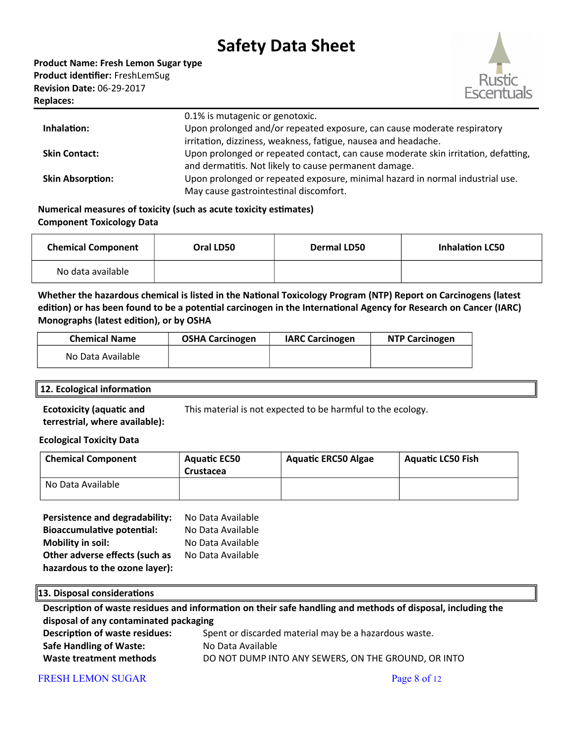

|                         | 0.1% is mutagenic or genotoxic.                                                    |
|-------------------------|------------------------------------------------------------------------------------|
| Inhalation:             | Upon prolonged and/or repeated exposure, can cause moderate respiratory            |
|                         | irritation, dizziness, weakness, fatigue, nausea and headache.                     |
| <b>Skin Contact:</b>    | Upon prolonged or repeated contact, can cause moderate skin irritation, defatting, |
|                         | and dermatitis. Not likely to cause permanent damage.                              |
| <b>Skin Absorption:</b> | Upon prolonged or repeated exposure, minimal hazard in normal industrial use.      |
|                         | May cause gastrointestinal discomfort.                                             |

### **Numerical measures of toxicity (such as acute toxicity estmates) Component Toxicology Data**

| <b>Chemical Component</b> | Oral LD50 | <b>Dermal LD50</b> | <b>Inhalation LC50</b> |
|---------------------------|-----------|--------------------|------------------------|
| No data available         |           |                    |                        |

Whether the hazardous chemical is listed in the National Toxicology Program (NTP) Report on Carcinogens (latest edition) or has been found to be a potential carcinogen in the International Agency for Research on Cancer (IARC) **Monographs (latest editon), or by OSHA**

| <b>Chemical Name</b> | <b>OSHA Carcinogen</b> | <b>IARC Carcinogen</b> | <b>NTP Carcinogen</b> |
|----------------------|------------------------|------------------------|-----------------------|
| No Data Available    |                        |                        |                       |

#### **12. Ecological informaton**

**Ecotoxicity (aquatic and terrestrial, where available):** This material is not expected to be harmful to the ecology.

### **Ecological Toxicity Data**

| <b>Chemical Component</b> | <b>Aquatic EC50</b> | <b>Aquatic ERC50 Algae</b> | <b>Aquatic LC50 Fish</b> |
|---------------------------|---------------------|----------------------------|--------------------------|
|                           | Crustacea           |                            |                          |
| No Data Available         |                     |                            |                          |

| Persistence and degradability:    | No Data Available |
|-----------------------------------|-------------------|
| <b>Bioaccumulative potential:</b> | No Data Available |
| <b>Mobility in soil:</b>          | No Data Available |
| Other adverse effects (such as    | No Data Available |
| hazardous to the ozone layer):    |                   |

### **13. Disposal consideratons**

| Description of waste residues and information on their safe handling and methods of disposal, including the |                                                       |  |  |
|-------------------------------------------------------------------------------------------------------------|-------------------------------------------------------|--|--|
| disposal of any contaminated packaging                                                                      |                                                       |  |  |
| <b>Description of waste residues:</b>                                                                       | Spent or discarded material may be a hazardous waste. |  |  |
| <b>Safe Handling of Waste:</b>                                                                              | No Data Available                                     |  |  |
| Waste treatment methods                                                                                     | DO NOT DUMP INTO ANY SEWERS, ON THE GROUND, OR INTO   |  |  |

### FRESH LEMON SUGAR Page 8 of 12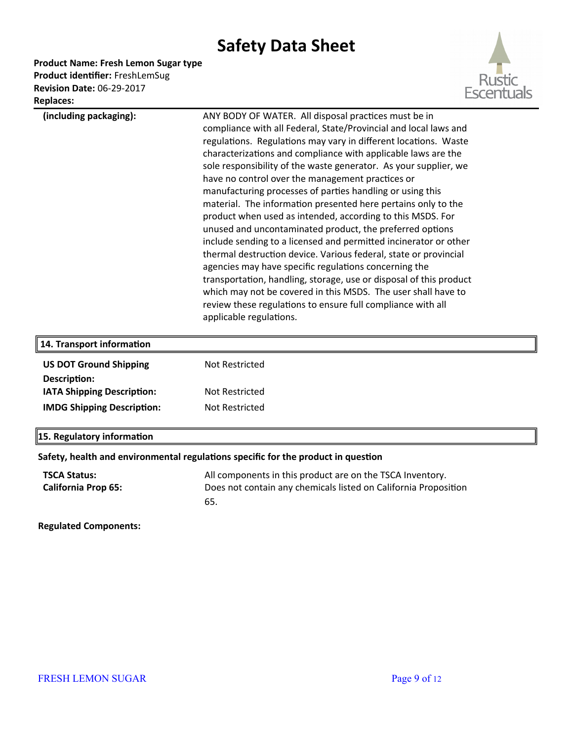**Product Name: Fresh Lemon Sugar type**

Product identifier: FreshLemSug **Revision Date:** 06-29-2017 **Replaces:** 



| nepiaces.                                         |                                                                                                                                                                                                                                                                                                                                                                                                                                                                                                                                                                                                                                                                                                                                                                                                                                                                                                                                                                                                                                                                                |
|---------------------------------------------------|--------------------------------------------------------------------------------------------------------------------------------------------------------------------------------------------------------------------------------------------------------------------------------------------------------------------------------------------------------------------------------------------------------------------------------------------------------------------------------------------------------------------------------------------------------------------------------------------------------------------------------------------------------------------------------------------------------------------------------------------------------------------------------------------------------------------------------------------------------------------------------------------------------------------------------------------------------------------------------------------------------------------------------------------------------------------------------|
| (including packaging):                            | ANY BODY OF WATER. All disposal practices must be in<br>compliance with all Federal, State/Provincial and local laws and<br>regulations. Regulations may vary in different locations. Waste<br>characterizations and compliance with applicable laws are the<br>sole responsibility of the waste generator. As your supplier, we<br>have no control over the management practices or<br>manufacturing processes of parties handling or using this<br>material. The information presented here pertains only to the<br>product when used as intended, according to this MSDS. For<br>unused and uncontaminated product, the preferred options<br>include sending to a licensed and permitted incinerator or other<br>thermal destruction device. Various federal, state or provincial<br>agencies may have specific regulations concerning the<br>transportation, handling, storage, use or disposal of this product<br>which may not be covered in this MSDS. The user shall have to<br>review these regulations to ensure full compliance with all<br>applicable regulations. |
| 14. Transport information                         |                                                                                                                                                                                                                                                                                                                                                                                                                                                                                                                                                                                                                                                                                                                                                                                                                                                                                                                                                                                                                                                                                |
| <b>US DOT Ground Shipping</b>                     | Not Restricted                                                                                                                                                                                                                                                                                                                                                                                                                                                                                                                                                                                                                                                                                                                                                                                                                                                                                                                                                                                                                                                                 |
| Description:<br>IATA Shipping Description:        | <b>Not Restricted</b>                                                                                                                                                                                                                                                                                                                                                                                                                                                                                                                                                                                                                                                                                                                                                                                                                                                                                                                                                                                                                                                          |
| <b>IMDG Shipping Description:</b>                 | Not Restricted                                                                                                                                                                                                                                                                                                                                                                                                                                                                                                                                                                                                                                                                                                                                                                                                                                                                                                                                                                                                                                                                 |
| 15. Regulatory information                        |                                                                                                                                                                                                                                                                                                                                                                                                                                                                                                                                                                                                                                                                                                                                                                                                                                                                                                                                                                                                                                                                                |
|                                                   | Safety, health and environmental regulations specific for the product in question                                                                                                                                                                                                                                                                                                                                                                                                                                                                                                                                                                                                                                                                                                                                                                                                                                                                                                                                                                                              |
| <b>TSCA Status:</b><br><b>California Prop 65:</b> | All components in this product are on the TSCA Inventory.<br>Does not contain any chemicals listed on California Proposition<br>65.                                                                                                                                                                                                                                                                                                                                                                                                                                                                                                                                                                                                                                                                                                                                                                                                                                                                                                                                            |
| <b>Regulated Components:</b>                      |                                                                                                                                                                                                                                                                                                                                                                                                                                                                                                                                                                                                                                                                                                                                                                                                                                                                                                                                                                                                                                                                                |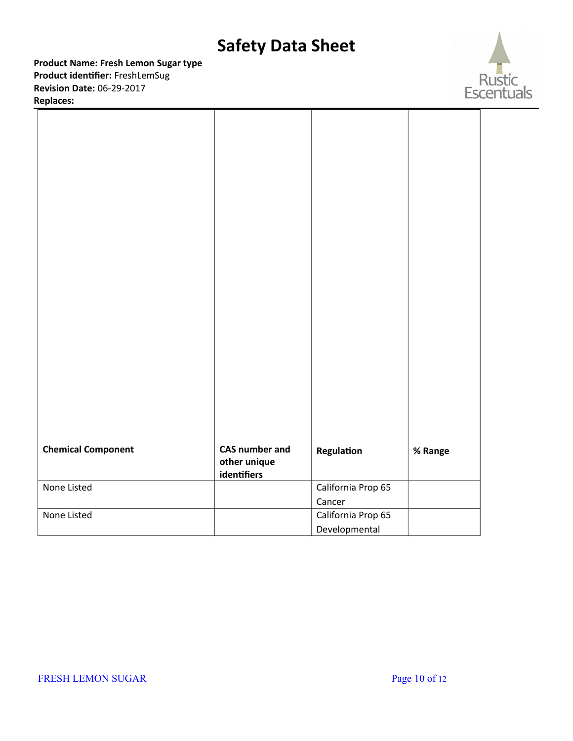**Product Name: Fresh Lemon Sugar type** Product identifier: FreshLemSug **Revision Date:** 06-29-2017

**Replaces:** 



| <b>Chemical Component</b> | CAS number and              | Regulation         | % Range |  |
|---------------------------|-----------------------------|--------------------|---------|--|
|                           | other unique<br>identifiers |                    |         |  |
| None Listed               |                             | California Prop 65 |         |  |
|                           |                             | Cancer             |         |  |
| None Listed               |                             | California Prop 65 |         |  |
|                           |                             | Developmental      |         |  |
|                           |                             |                    |         |  |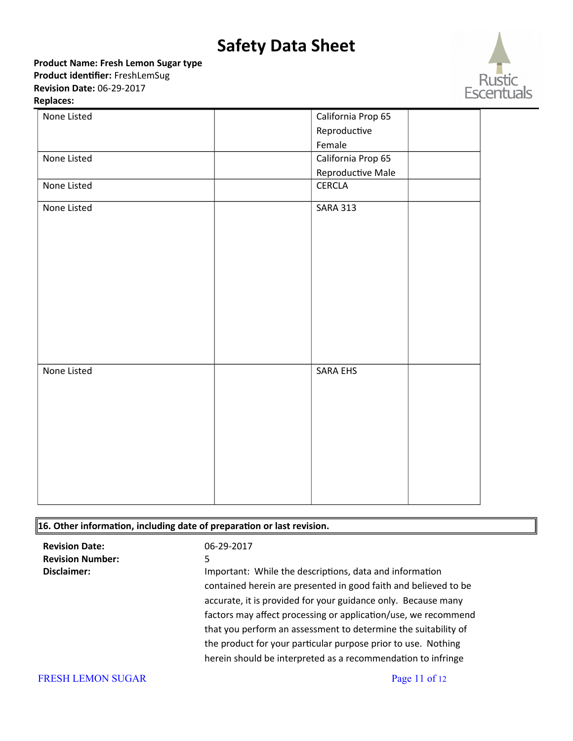**Product Name: Fresh Lemon Sugar type** Product identifier: FreshLemSug

**Revision Date:** 06-29-2017

#### **Replaces:**



| None Listed | California Prop 65 |
|-------------|--------------------|
|             | Reproductive       |
|             | Female             |
| None Listed | California Prop 65 |
|             | Reproductive Male  |
| None Listed | CERCLA             |
| None Listed | <b>SARA 313</b>    |
|             |                    |
| None Listed | SARA EHS           |

### **16. Other informaton, including date of preparaton or last revision.**

| <b>Revision Date:</b><br><b>Revision Number:</b><br>Disclaimer: | 06-29-2017<br>5.<br>Important: While the descriptions, data and information<br>contained herein are presented in good faith and believed to be<br>accurate, it is provided for your guidance only. Because many<br>factors may affect processing or application/use, we recommend<br>that you perform an assessment to determine the suitability of<br>the product for your particular purpose prior to use. Nothing |
|-----------------------------------------------------------------|----------------------------------------------------------------------------------------------------------------------------------------------------------------------------------------------------------------------------------------------------------------------------------------------------------------------------------------------------------------------------------------------------------------------|
|                                                                 | herein should be interpreted as a recommendation to infringe                                                                                                                                                                                                                                                                                                                                                         |
| <b>FRESH LEMON SUGAR</b>                                        | Page 11 of $12$                                                                                                                                                                                                                                                                                                                                                                                                      |